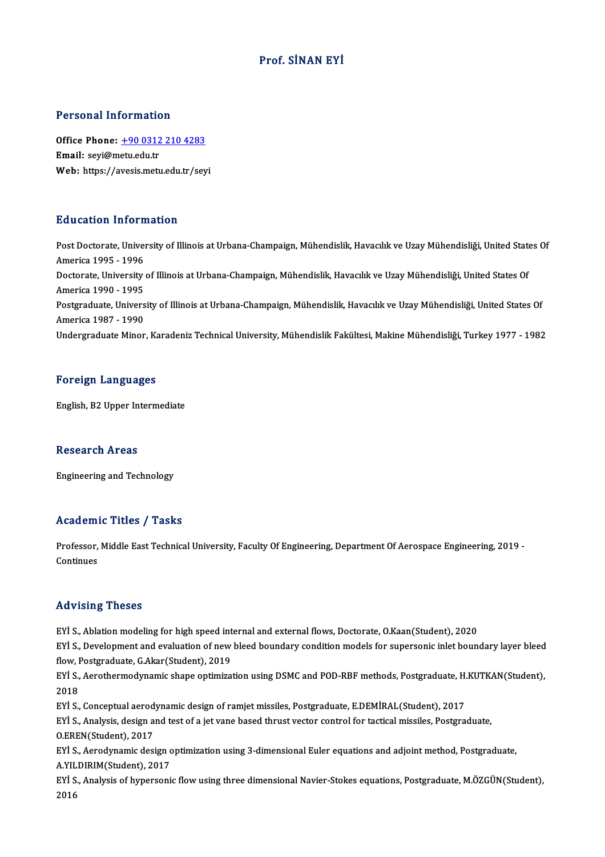#### Prof. SİNAN EYİ

#### Personal Information

Personal Information<br>Office Phone: <u>+90 0312 210 4283</u><br>Email: savi@msty.edu.tr Fersonal information<br>Office Phone: <u>+90 0312</u><br>Email: seyi@metu.edu.tr Email: seyi@metu.edu.tr<br>Web: https://a[vesis.metu.edu.tr/sey](tel:+90 0312 210 4283)i

#### Education Information

Education Information<br>Post Doctorate, University of Illinois at Urbana-Champaign, Mühendislik, Havacılık ve Uzay Mühendisliği, United States Of<br>America 1995 - 1996 Audition Information<br>Post Doctorate, Univer<br>America 1995 - 1996<br>Doctorate University Post Doctorate, University of Illinois at Urbana-Champaign, Mühendislik, Havacılık ve Uzay Mühendisliği, United State<br>America 1995 - 1996<br>Doctorate, University of Illinois at Urbana-Champaign, Mühendislik, Havacılık ve Uza America 1995 - 1996<br>Doctorate, University of Illinois at Urbana-Champaign, Mühendislik, Havacılık ve Uzay Mühendisliği, United States Of<br>America 1990 - 1995 Doctorate, University of Illinois at Urbana-Champaign, Mühendislik, Havacılık ve Uzay Mühendisliği, United States Of<br>America 1990 - 1995<br>Postgraduate, University of Illinois at Urbana-Champaign, Mühendislik, Havacılık ve U America 1990 - 1995<br>Postgraduate, Univers<br>America 1987 - 1990<br>Undergraduate Miner America 1987 - 1990<br>Undergraduate Minor, Karadeniz Technical University, Mühendislik Fakültesi, Makine Mühendisliği, Turkey 1977 - 1982

#### Foreign Languages

English,B2Upper Intermediate

#### **Research Areas**

Engineering andTechnology

#### Academic Titles / Tasks

Academic Titles / Tasks<br>Professor, Middle East Technical University, Faculty Of Engineering, Department Of Aerospace Engineering, 2019<br>Centinues Professor,<br>Continues Advising Theses

EYİ S., Ablation modeling for high speed internal and external flows, Doctorate, O.Kaan(Student), 2020

Fra Fioring Triceces<br>EYİ S., Ablation modeling for high speed internal and external flows, Doctorate, O.Kaan(Student), 2020<br>EYİ S., Development and evaluation of new bleed boundary condition models for supersonic inlet bou EYİ S., Ablation modeling for high speed int<br>EYİ S., Development and evaluation of new<br>flow, Postgraduate, G.Akar(Student), 2019<br>EYİ S. Aerothermedynamis shane entimize EYİ S., Development and evaluation of new bleed boundary condition models for supersonic inlet boundary layer bleed<br>flow, Postgraduate, G.Akar(Student), 2019<br>EYİ S., Aerothermodynamic shape optimization using DSMC and POD-

flow, I<br>EYİ S.,<br>2018<br>EVİ S EYİ S., Aerothermodynamic shape optimization using DSMC and POD-RBF methods, Postgraduate, H.<br>2018<br>EYİ S., Conceptual aerodynamic design of ramjet missiles, Postgraduate, E.DEMİRAL(Student), 2017<br>EYİ S., Analysis, design a

2018<br>EYİ S., Conceptual aerodynamic design of ramjet missiles, Postgraduate, E.DEMİRAL(Student), 2017<br>EYİ S., Analysis, design and test of a jet vane based thrust vector control for tactical missiles, Postgraduate,<br>O.EREN( EYİ S., Conceptual aerod<br>EYİ S., Analysis, design a<br>O.EREN(Student), 2017<br>E<sup>Vİ S.</sup>, Aerodynamis desi EYİ S., Analysis, design and test of a jet vane based thrust vector control for tactical missiles, Postgraduate,<br>O.EREN(Student), 2017<br>EYİ S., Aerodynamic design optimization using 3-dimensional Euler equations and adjoint

O.EREN(Student), 2017<br>EYİ S., Aerodynamic design c<br>A.YILDIRIM(Student), 2017<br>E<sup>Vİ S.</sup>, Anakraja of hynoreani EYİ S., Aerodynamic design optimization using 3-dimensional Euler equations and adjoint method, Postgraduate,<br>A.YILDIRIM(Student), 2017<br>EYİ S., Analysis of hypersonic flow using three dimensional Navier-Stokes equations, P

A.YILDIRIM(Student), 2017<br>EYİ S., Analysis of hypersonic flow using three dimensional Navier-Stokes equations, Postgraduate, M.ÖZGÜN(Student),<br>2016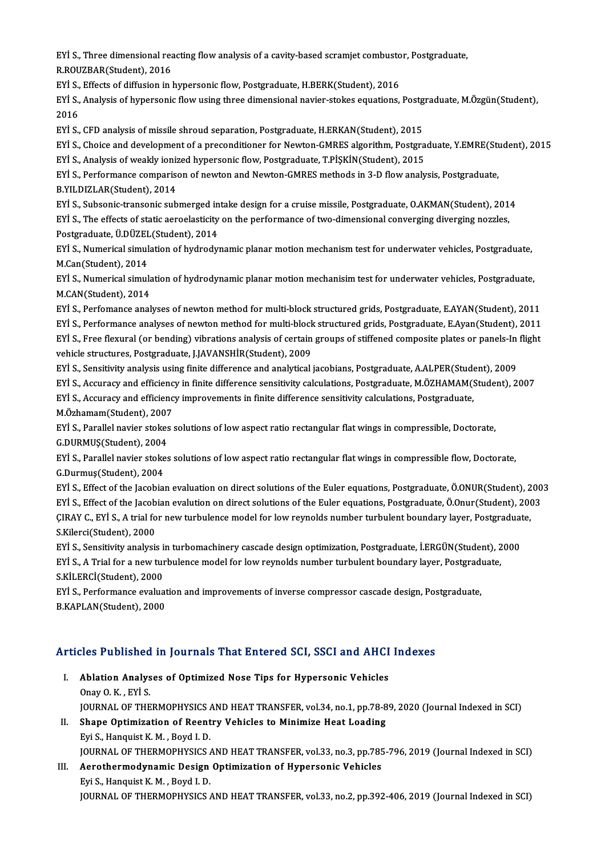EYİ S., Three dimensional reacting flow analysis of a cavity-based scramjet combustor, Postgraduate,<br>R.ROUZRAR(Student), 2016 EYİ S., Three dimensional rea<br>R.ROUZBAR(Student), 2016<br>EYİ S., Effecte of diffusion in l EYİ S., Three dimensional reacting flow analysis of a cavity-based scramjet combusto<br>R.ROUZBAR(Student), 2016<br>EYİ S., Effects of diffusion in hypersonic flow, Postgraduate, H.BERK(Student), 2016<br>EYİ S., Analysis of bynarso

R.ROUZBAR(Student), 2016<br>EYİ S., Effects of diffusion in hypersonic flow, Postgraduate, H.BERK(Student), 2016<br>EYİ S., Analysis of hypersonic flow using three dimensional navier-stokes equations, Postgraduate, M.Özgün(Stude EYI S.,<br>EYI S.,<br>2016<br>EVI S EYİ S., Analysis of hypersonic flow using three dimensional navier-stokes equations, Postg<br>2016<br>EYİ S., CFD analysis of missile shroud separation, Postgraduate, H.ERKAN(Student), 2015<br>EYİ S. Choice and development of a pre

2016<br>EYİ S., CFD analysis of missile shroud separation, Postgraduate, H.ERKAN(Student), 2015<br>EYİ S., Choice and development of a preconditioner for Newton-GMRES algorithm, Postgraduate, Y.EMRE(Student), 2015<br>EYİ S. Analysi EYİ S., CFD analysis of missile shroud separation, Postgraduate, H.ERKAN(Student), 2015<br>EYİ S., Choice and development of a preconditioner for Newton-GMRES algorithm, Postgra<br>EYİ S., Analysis of weakly ionized hypersonic f

EYİ S., Choice and development of a preconditioner for Newton-GMRES algorithm, Postgraduate, Y.EMRE(St.<br>EYİ S., Analysis of weakly ionized hypersonic flow, Postgraduate, T.PİŞKİN(Student), 2015<br>EYİ S., Performance comparis EYİ S., Analysis of weakly ionized hypersonic flow, Postgraduate, T.PİŞKİN(Student), 2015<br>EYİ S., Performance comparison of newton and Newton-GMRES methods in 3-D flow analysis, Postgraduate,<br>B.YILDIZLAR(Student), 2014 EYİ S., Performance comparison of newton and Newton-GMRES methods in 3-D flow analysis, Postgraduate,<br>B.YILDIZLAR(Student), 2014<br>EYİ S., Subsonic-transonic submerged intake design for a cruise missile, Postgraduate, O.AKMA

B.YILDIZLAR(Student), 2014<br>EYİ S., Subsonic-transonic submerged intake design for a cruise missile, Postgraduate, O.AKMAN(Student), 201<br>EYİ S., The effects of static aeroelasticity on the performance of two-dimensional con EYİ S., Subsonic-transonic submerged in<br>EYİ S., The effects of static aeroelasticity<br>Postgraduate, Ü.DÜZEL(Student), 2014<br>EYİ S. Numarical simulation of budrodu EYİ S., The effects of static aeroelasticity on the performance of two-dimensional converging diverging nozzles,<br>Postgraduate, Ü.DÜZEL(Student), 2014<br>EYİ S., Numerical simulation of hydrodynamic planar motion mechanism tes

Postgraduate, Ü.DÜZEL<br>EYİ S., Numerical simul<br>M.Can(Student), 2014<br>EYİ S. Numerical simul EYİ S., Numerical simulation of hydrodynamic planar motion mechanism test for underwater vehicles, Postgraduate,<br>M.Can(Student), 2014<br>EYİ S., Numerical simulation of hydrodynamic planar motion mechanisim test for underwate

M.Can(Student), 2014<br>EYİ S., Numerical simula<br>M.CAN(Student), 2014<br>E<sup>Vİ S.</sup>, Perfomanas anal EYİ S., Numerical simulation of hydrodynamic planar motion mechanisim test for underwater vehicles, Postgraduate,<br>M.CAN(Student), 2014<br>EYİ S., Perfomance analyses of newton method for multi-block structured grids, Postgrad

M.CAN(Student), 2014<br>EYİ S., Perfomance analyses of newton method for multi-block structured grids, Postgraduate, E.AYAN(Student), 2011<br>EYİ S., Performance analyses of newton method for multi-block structured grids, Postgr EYİ S., Perfomance analyses of newton method for multi-block structured grids, Postgraduate, E.AYAN(Student), 2011<br>EYİ S., Performance analyses of newton method for multi-block structured grids, Postgraduate, E.Ayan(Studen EYİ S., Performance analyses of newton method for multi-block<br>EYİ S., Free flexural (or bending) vibrations analysis of certain<br>vehicle structures, Postgraduate, J.JAVANSHİR(Student), 2009<br>EYİ S. Sonsitivity analysis using EYİ S., Free flexural (or bending) vibrations analysis of certain groups of stiffened composite plates or panels-In flight<br>vehicle structures, Postgraduate, J.JAVANSHİR(Student), 2009<br>EYİ S., Sensitivity analysis using fin vehicle structures, Postgraduate, J.JAVANSHİR(Student), 2009<br>EYİ S., Sensitivity analysis using finite difference and analytical jacobians, Postgraduate, A.ALPER(Student), 2009<br>EYİ S., Accuracy and efficiency in finite dif

EYİ S., Sensitivity analysis using finite difference and analytical jacobians, Postgraduate, A.ALPER(Student)<br>EYİ S., Accuracy and efficiency in finite difference sensitivity calculations, Postgraduate, M.ÖZHAMAM(!<br>EYİ S., EYİ S., Accuracy and efficienc<br>EYİ S., Accuracy and efficienc<br>M.Özhamam(Student), 2007<br>EYİ S. Parallal naviar stakse

EYİ S., Accuracy and efficiency improvements in finite difference sensitivity calculations, Postgraduate,<br>M.Özhamam(Student), 2007<br>EYİ S., Parallel navier stokes solutions of low aspect ratio rectangular flat wings in comp M.Özhamam(Student), 2007<br>EYİ S., Parallel navier stokes<br>G.DURMUŞ(Student), 2004<br>EYİ S. Parallel navier stakes

EYİ S., Parallel navier stokes solutions of low aspect ratio rectangular flat wings in compressible, Doctorate,<br>G.DURMUŞ(Student), 2004<br>EYİ S., Parallel navier stokes solutions of low aspect ratio rectangular flat wings in G.DURMUŞ(Student), 2004<br>EYİ S., Parallel navier stoke<br>G.Durmuş(Student), 2004<br>EYİ S., Effect of the lagebial EYİ S., Parallel navier stokes solutions of low aspect ratio rectangular flat wings in compressible flow, Doctorate,<br>G.Durmuş(Student), 2004<br>EYİ S., Effect of the Jacobian evaluation on direct solutions of the Euler equati

G.Durmuş(Student), 2004<br>EYİ S., Effect of the Jacobian evaluation on direct solutions of the Euler equations, Postgraduate, Ö.ONUR(Student), 200<br>EYİ S., Effect of the Jacobian evalution on direct solutions of the Euler equ EYİ S., Effect of the Jacobian evaluation on direct solutions of the Euler equations, Postgraduate, Ö.ONUR(Student), 2<br>EYİ S., Effect of the Jacobian evalution on direct solutions of the Euler equations, Postgraduate, Ö.On EYİ S., Effect of the Jacob<br>ÇIRAY C., EYİ S., A trial fo<br>S.Kilerci(Student), 2000<br>EYİ S. Sonsitivity analyai CIRAY C., EYİ S., A trial for new turbulence model for low reynolds number turbulent boundary layer, Postgraduat<br>S.Kilerci(Student), 2000<br>EYİ S., Sensitivity analysis in turbomachinery cascade design optimization, Postgrad

S.Kilerci(Student), 2000<br>EYİ S., Sensitivity analysis in turbomachinery cascade design optimization, Postgraduate, İ.ERGÜN(Student), 2<br>EYİ S., A Trial for a new turbulence model for low reynolds number turbulent boundary l EYİ S., Sensitivity analysis i<br>EYİ S., A Trial for a new tur<br>S.KİLERCİ(Student), 2000<br>E<sup>Vİ S.</sup> Performange evalue EYİ S., A Trial for a new turbulence model for low reynolds number turbulent boundary layer, Postgraduate,<br>S.KİLERCİ(Student), 2000<br>EYİ S., Performance evaluation and improvements of inverse compressor cascade design, Post

B.KAPLAN(Student),2000

# B.KAPLAN(Student), 2000<br>Articles Published in Journals That Entered SCI, SSCI and AHCI Indexes

- rticles Published in Journals That Entered SCI, SSCI and AHCI<br>I. Ablation Analyses of Optimized Nose Tips for Hypersonic Vehicles<br>Opav O.K., Evi S I. Ablation Analyses of Optimized Nose Tips for Hypersonic Vehicles<br>Onay O.K., EYİ S. Ablation Analyses of Optimized Nose Tips for Hypersonic Vehicles<br>Onay O. K. , EYİ S.<br>JOURNAL OF THERMOPHYSICS AND HEAT TRANSFER, vol.34, no.1, pp.78-89, 2020 (Journal Indexed in SCI)<br>Shane Ontimization of Beentry Vehicles Onay O. K., EYİ S.<br>JOURNAL OF THERMOPHYSICS AND HEAT TRANSFER, vol.34, no.1, pp.78-8<br>II. Shape Optimization of Reentry Vehicles to Minimize Heat Loading<br>Evi S. Hongwist K. M. Boyd J. D.
- **JOURNAL OF THERMOPHYSICS /<br>Shape Optimization of Reent**<br>Eyi S., Hanquist K. M. , Boyd I. D.<br>JOUPNAL OF THEPMOPHYSICS *(* Shape Optimization of Reentry Vehicles to Minimize Heat Loading<br>Eyi S., Hanquist K. M. , Boyd I. D.<br>JOURNAL OF THERMOPHYSICS AND HEAT TRANSFER, vol.33, no.3, pp.785-796, 2019 (Journal Indexed in SCI)<br>Aerathermedunamia Desi
- Eyi S., Hanquist K. M. , Boyd I. D.<br>JOURNAL OF THERMOPHYSICS AND HEAT TRANSFER, vol.33, no.3, pp.78!<br>III. Aerothermodynamic Design Optimization of Hypersonic Vehicles<br>Eyi S., Hanquist K. M. , Boyd I. D. **JOURNAL OF THERMOPHYSICS /<br>Aerothermodynamic Design<br>Eyi S., Hanquist K. M. , Boyd I. D.**<br>JOUPNAL OF THEPMOPHYSICS / JOURNAL OF THERMOPHYSICS AND HEAT TRANSFER, vol.33, no.2, pp.392-406, 2019 (Journal Indexed in SCI)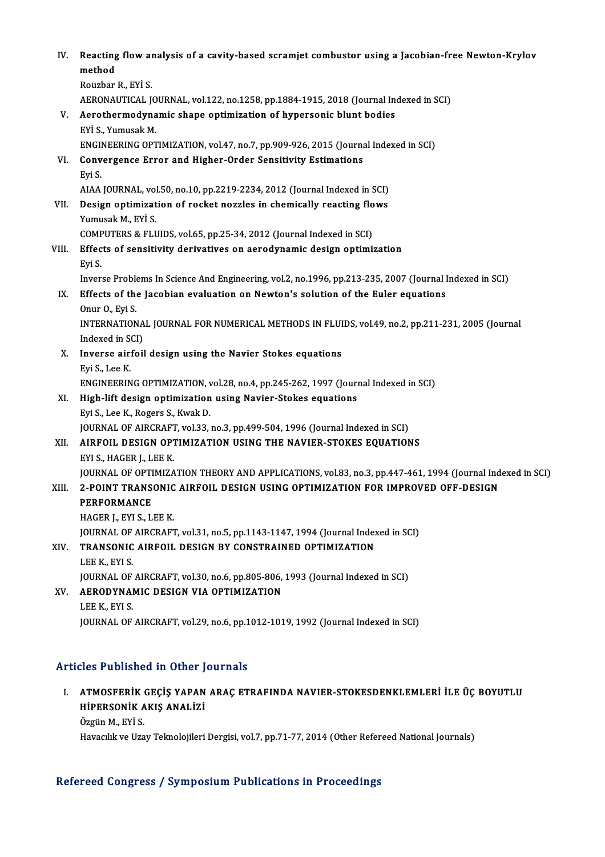| IV.   | Reacting flow analysis of a cavity-based scramjet combustor using a Jacobian-free Newton-Krylov                                              |
|-------|----------------------------------------------------------------------------------------------------------------------------------------------|
|       | method                                                                                                                                       |
|       | Rouzbar R., EYİ S.                                                                                                                           |
|       | AERONAUTICAL JOURNAL, vol.122, no.1258, pp.1884-1915, 2018 (Journal Indexed in SCI)                                                          |
| V.    | Aerothermodynamic shape optimization of hypersonic blunt bodies                                                                              |
|       | EYİ S., Yumusak M.                                                                                                                           |
|       | ENGINEERING OPTIMIZATION, vol.47, no.7, pp.909-926, 2015 (Journal Indexed in SCI)                                                            |
| VI.   | Convergence Error and Higher-Order Sensitivity Estimations                                                                                   |
|       | Eyi S.                                                                                                                                       |
|       | AIAA JOURNAL, vol 50, no 10, pp.2219-2234, 2012 (Journal Indexed in SCI)                                                                     |
| VII.  | Design optimization of rocket nozzles in chemically reacting flows                                                                           |
|       | Yumusak M., EYİ S.                                                                                                                           |
| VIII. | COMPUTERS & FLUIDS, vol.65, pp.25-34, 2012 (Journal Indexed in SCI)<br>Effects of sensitivity derivatives on aerodynamic design optimization |
|       | Eyi S                                                                                                                                        |
|       | Inverse Problems In Science And Engineering, vol.2, no.1996, pp.213-235, 2007 (Journal Indexed in SCI)                                       |
| IX.   | Effects of the Jacobian evaluation on Newton's solution of the Euler equations                                                               |
|       | Onur O, Eyi S                                                                                                                                |
|       | INTERNATIONAL JOURNAL FOR NUMERICAL METHODS IN FLUIDS, vol.49, no.2, pp.211-231, 2005 (Journal                                               |
|       | Indexed in SCI)                                                                                                                              |
| Х.    | Inverse airfoil design using the Navier Stokes equations                                                                                     |
|       | Eyi S, Lee K                                                                                                                                 |
|       | ENGINEERING OPTIMIZATION, vol.28, no.4, pp.245-262, 1997 (Journal Indexed in SCI)                                                            |
| XI.   | High-lift design optimization using Navier-Stokes equations                                                                                  |
|       | Eyi S, Lee K, Rogers S, Kwak D.                                                                                                              |
|       | JOURNAL OF AIRCRAFT, vol.33, no.3, pp.499-504, 1996 (Journal Indexed in SCI)                                                                 |
| XII.  | AIRFOIL DESIGN OPTIMIZATION USING THE NAVIER-STOKES EQUATIONS                                                                                |
|       | EYI S, HAGER J, LEE K.                                                                                                                       |
|       | JOURNAL OF OPTIMIZATION THEORY AND APPLICATIONS, vol.83, no.3, pp.447-461, 1994 (Journal Indexed in SCI)                                     |
| XIII. | 2-POINT TRANSONIC AIRFOIL DESIGN USING OPTIMIZATION FOR IMPROVED OFF-DESIGN                                                                  |
|       | <b>PERFORMANCE</b>                                                                                                                           |
|       | HAGER J., EYI S., LEE K.                                                                                                                     |
|       | JOURNAL OF AIRCRAFT, vol.31, no.5, pp.1143-1147, 1994 (Journal Indexed in SCI)                                                               |
| XIV.  | TRANSONIC AIRFOIL DESIGN BY CONSTRAINED OPTIMIZATION                                                                                         |
|       | LEE K, EYI S.                                                                                                                                |
|       | JOURNAL OF AIRCRAFT, vol.30, no.6, pp.805-806, 1993 (Journal Indexed in SCI)                                                                 |
| XV.   | AERODYNAMIC DESIGN VIA OPTIMIZATION                                                                                                          |
|       | LEE K, EYI S.                                                                                                                                |
|       | JOURNAL OF AIRCRAFT, vol.29, no.6, pp.1012-1019, 1992 (Journal Indexed in SCI)                                                               |
|       |                                                                                                                                              |

#### Articles Published in Other Journals

Tticles Published in Other Journals<br>I. – ATMOSFERİK GEÇİŞ YAPAN ARAÇ ETRAFINDA NAVIER-STOKESDENKLEMLERİ İLE ÜÇ BOYUTLU<br>HİPERSONİK AKIŞ ANALIZI HEB'T ABHBIRGA'IN OLIRET'Y<br>ATMOSFERİK GEÇİŞ YAPAN<br>HİPERSONİK AKIŞ ANALİZİ ATMOSFERİK<br>HİPERSONİK A<br>Özgün M., EYİ S.<br>Havasılık ve Uza HİPERSONİK AKIŞ ANALİZİ<br>Özgün M., EYİ S.<br>Havacılık ve Uzay Teknolojileri Dergisi, vol.7, pp.71-77, 2014 (Other Refereed National Journals)

#### Refereed Congress / Symposium Publications in Proceedings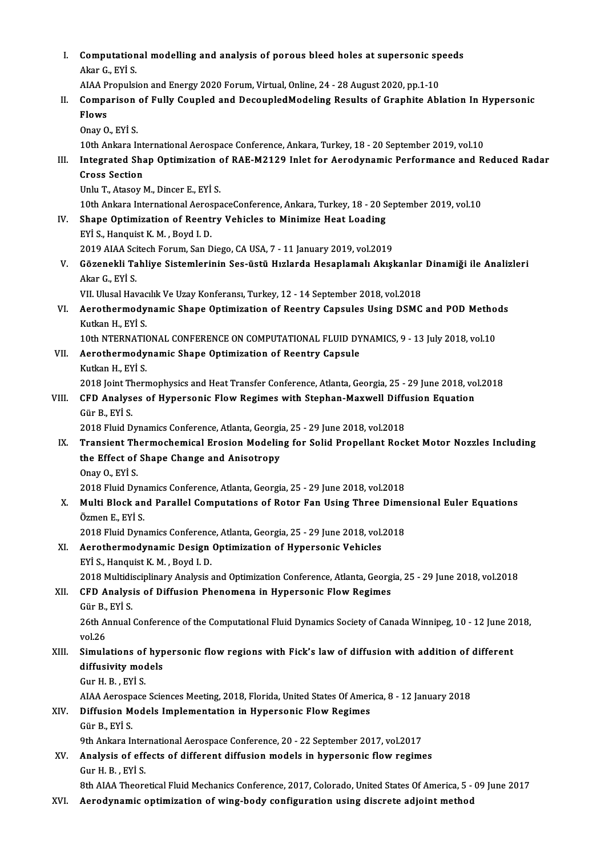| L.    | Computational modelling and analysis of porous bleed holes at supersonic speeds<br>Akar G, EYI S                      |
|-------|-----------------------------------------------------------------------------------------------------------------------|
|       | AIAA Propulsion and Energy 2020 Forum, Virtual, Online, 24 - 28 August 2020, pp.1-10                                  |
| Н.    | Comparison of Fully Coupled and DecoupledModeling Results of Graphite Ablation In Hypersonic<br>Flows                 |
|       | Onay O, EYI S                                                                                                         |
|       | 10th Ankara International Aerospace Conference, Ankara, Turkey, 18 - 20 September 2019, vol.10                        |
| III.  | Integrated Shap Optimization of RAE-M2129 Inlet for Aerodynamic Performance and Reduced Radar<br><b>Cross Section</b> |
|       | Unlu T., Atasoy M., Dincer E., EYİ S.                                                                                 |
|       | 10th Ankara International AerospaceConference, Ankara, Turkey, 18 - 20 September 2019, vol.10                         |
| IV.   | Shape Optimization of Reentry Vehicles to Minimize Heat Loading                                                       |
|       | EYİ S., Hanquist K. M., Boyd I. D.                                                                                    |
|       | 2019 AIAA Scitech Forum, San Diego, CA USA, 7 - 11 January 2019, vol.2019                                             |
| V.    | Gözenekli Tahliye Sistemlerinin Ses-üstü Hızlarda Hesaplamalı Akışkanlar Dinamiği ile Analizleri                      |
|       | Akar G, EYİ S                                                                                                         |
|       | VII. Ulusal Havacılık Ve Uzay Konferansı, Turkey, 12 - 14 September 2018, vol.2018                                    |
| VI.   | Aerothermodynamic Shape Optimization of Reentry Capsules Using DSMC and POD Methods<br>Kutkan H., EYİ S.              |
|       | 10th NTERNATIONAL CONFERENCE ON COMPUTATIONAL FLUID DYNAMICS, 9 - 13 July 2018, vol.10                                |
| VII.  | Aerothermodynamic Shape Optimization of Reentry Capsule                                                               |
|       | Kutkan H., EYİ S.                                                                                                     |
|       | 2018 Joint Thermophysics and Heat Transfer Conference, Atlanta, Georgia, 25 - 29 June 2018, vol.2018                  |
| VIII. | CFD Analyses of Hypersonic Flow Regimes with Stephan-Maxwell Diffusion Equation                                       |
|       | Gür B, EYİ S                                                                                                          |
|       | 2018 Fluid Dynamics Conference, Atlanta, Georgia, 25 - 29 June 2018, vol.2018                                         |
| IX.   | Transient Thermochemical Erosion Modeling for Solid Propellant Rocket Motor Nozzles Including                         |
|       | the Effect of Shape Change and Anisotropy                                                                             |
|       | Onav O., EYİ S.                                                                                                       |
|       | 2018 Fluid Dynamics Conference, Atlanta, Georgia, 25 - 29 June 2018, vol.2018                                         |
| Х.    | Multi Block and Parallel Computations of Rotor Fan Using Three Dimensional Euler Equations<br>Özmen E., EYİ S.        |
|       | 2018 Fluid Dynamics Conference, Atlanta, Georgia, 25 - 29 June 2018, vol.2018                                         |
| XI.   | Aerothermodynamic Design Optimization of Hypersonic Vehicles                                                          |
|       | EYİ S., Hanquist K. M., Boyd I. D.                                                                                    |
|       | 2018 Multidisciplinary Analysis and Optimization Conference, Atlanta, Georgia, 25 - 29 June 2018, vol.2018            |
| XII.  | CFD Analysis of Diffusion Phenomena in Hypersonic Flow Regimes                                                        |
|       | Gür B, EYİ S.                                                                                                         |
|       | 26th Annual Conference of the Computational Fluid Dynamics Society of Canada Winnipeg, 10 - 12 June 2018,<br>vol 26   |
| XIII. | Simulations of hypersonic flow regions with Fick's law of diffusion with addition of different                        |
|       | diffusivity models                                                                                                    |
|       | Gur H B , EYİ S                                                                                                       |
|       | AIAA Aerospace Sciences Meeting, 2018, Florida, United States Of America, 8 - 12 January 2018                         |
| XIV.  | Diffusion Models Implementation in Hypersonic Flow Regimes                                                            |
|       | Gür B, EYİ S                                                                                                          |
|       | 9th Ankara International Aerospace Conference, 20 - 22 September 2017, vol.2017                                       |
| XV.   | Analysis of effects of different diffusion models in hypersonic flow regimes                                          |
|       | Gur H B , EYİ S                                                                                                       |
|       | 8th AIAA Theoretical Fluid Mechanics Conference, 2017, Colorado, United States Of America, 5 - 09 June 2017           |
| XVI.  | Aerodynamic optimization of wing-body configuration using discrete adjoint method                                     |
|       |                                                                                                                       |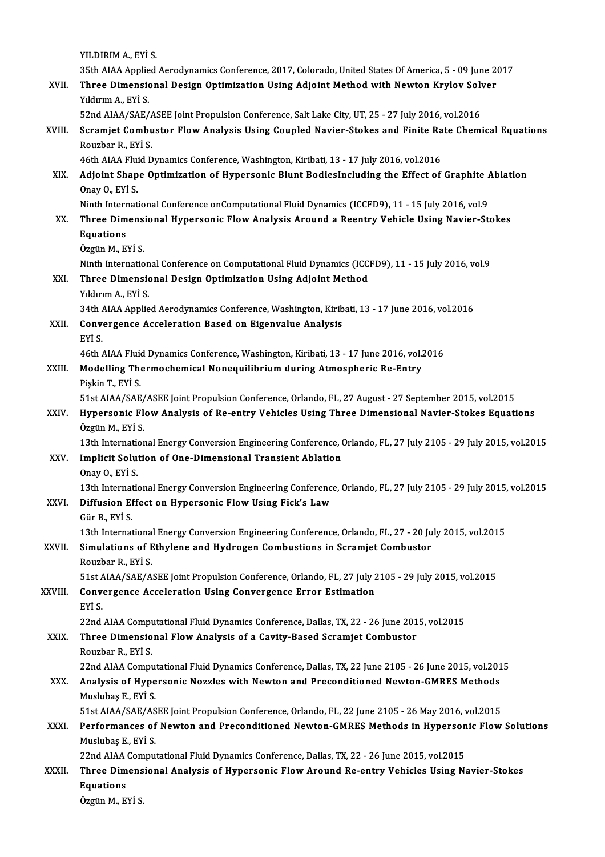YILDIRIMA.,EYİ S.

35thAIAAAppliedAerodynamicsConference,2017,Colorado,United StatesOfAmerica,5 -09 June 2017 YILDIRIM A., EYİ S.<br>35th AIAA Applied Aerodynamics Conference, 2017, Colorado, United States Of America, 5 - 09 June 2<br>XVII. Three Dimensional Design Optimization Using Adjoint Method with Newton Krylov Solver<br>Viduum A 35th AIAA Applie<br>Three Dimensic<br>Yıldırım A., EYİ S.<br>E2nd AIAA (SAE ( Three Dimensional Design Optimization Using Adjoint Method with Newton Krylov Solv<br>S2nd AIAA/SAE/ASEE Joint Propulsion Conference, Salt Lake City, UT, 25 - 27 July 2016, vol.2016<br>Seramiet Combustar Flaw Analysis Heing Coun Yıldırım A., EYİ S.<br>52nd AIAA/SAE/ASEE Joint Propulsion Conference, Salt Lake City, UT, 25 - 27 July 2016, vol.2016<br>XVIII. Scramjet Combustor Flow Analysis Using Coupled Navier-Stokes and Finite Rate Chemical Equations

# 52nd AIAA/SAE/ASEE Joint Propulsion Conference, Salt Lake City, UT, 25 - 27 July 2016, vol.2016<br>Scramjet Combustor Flow Analysis Using Coupled Navier-Stokes and Finite Rate Chem<br>Rouzbar R., EYİ S.<br>46th AIAA Fluid Dynamics Scramjet Combustor Flow Analysis Using Coupled Navier-Stokes and Finite Ra<br>Rouzbar R., EYİ S.<br>46th AIAA Fluid Dynamics Conference, Washington, Kiribati, 13 - 17 July 2016, vol.2016<br>Adjoint Shane Ontimization of Hynansonic

# Rouzbar R., EYİ S.<br>46th AIAA Fluid Dynamics Conference, Washington, Kiribati, 13 - 17 July 2016, vol.2016<br>XIX. Adjoint Shape Optimization of Hypersonic Blunt BodiesIncluding the Effect of Graphite Ablation<br>Onay O. EVİ 46th AIAA Flui<br>Adjoint Shap<br>Onay O., EYİ S.<br>Ninth Internat Adjoint Shape Optimization of Hypersonic Blunt BodiesIncluding the Effect of Graphite A<br>Onay O., EYİ S.<br>Ninth International Conference onComputational Fluid Dynamics (ICCFD9), 11 - 15 July 2016, vol.9<br>Three Dimensional Hyp

# Onay O., EYİ S.<br>Ninth International Conference onComputational Fluid Dynamics (ICCFD9), 11 - 15 July 2016, vol.9<br>XX. Three Dimensional Hypersonic Flow Analysis Around a Reentry Vehicle Using Navier-Stokes<br>Fountions Ninth International Conference onComputational Fluid Dynamics (ICCFD9), 11 - 15 July 2016, vol.9<br>Three Dimensional Hypersonic Flow Analysis Around a Reentry Vehicle Using Navier-St<br>Equations<br>Özgün M., EYİ S. Three Dimens<br>Equations<br>Özgün M., EYİ S.<br><sup>Ninth</sup> Internatio

Equations<br>Özgün M., EYİ S.<br>Ninth International Conference on Computational Fluid Dynamics (ICCFD9), 11 - 15 July 2016, vol.9<br>Three Dimensional Desisn Ontimisation Heins Adjoint Method. Özgün M., EYİ S.<br>Ninth International Conference on Computational Fluid Dynamics (ICC)<br>XXI. Three Dimensional Design Optimization Using Adjoint Method<br>Viduum A. EVİ S

# Ninth Internation<br>Three Dimensic<br>Yıldırım A., EYİ S.<br>24th ALAA Annlie Three Dimensional Design Optimization Using Adjoint Method<br>1990 - Yıldırım A., EYİ S.<br>34th AIAA Applied Aerodynamics Conference, Washington, Kiribati, 13 - 17 June 2016, vol.2016

# Yıldırım A., EYİ S.<br>34th AIAA Applied Aerodynamics Conference, Washington, Kirib<br>XXII. Convergence Acceleration Based on Eigenvalue Analysis<br>EVİ S 34th A<br>Convert<br>EYİ S. Convergence Acceleration Based on Eigenvalue Analysis<br>EYİ S.<br>46th AIAA Fluid Dynamics Conference, Washington, Kiribati, 13 - 17 June 2016, vol.2016<br>Modelling Thermoshemisel Nenegyilibrium during Atmospheris Be Entry

## EYİ S.<br>46th AIAA Fluid Dynamics Conference, Washington, Kiribati, 13 - 17 June 2016, vol.<br>XXIII. Modelling Thermochemical Nonequilibrium during Atmospheric Re-Entry<br>Pişkin T., EYİ S. 46th AIAA Fluid<br>Modelling The<br>Pişkin T., EYİ S.<br>51st AIAA (SAE Modelling Thermochemical Nonequilibrium during Atmospheric Re-Entry<br>Pişkin T., EYİ S.<br>51st AIAA/SAE/ASEE Joint Propulsion Conference, Orlando, FL, 27 August - 27 September 2015, vol.2015<br>Hynorgania Elow Anglysis of Be entr

# Pişkin T., EYİ S.<br>51st AIAA/SAE/ASEE Joint Propulsion Conference, Orlando, FL, 27 August - 27 September 2015, vol.2015<br>XXIV. Hypersonic Flow Analysis of Re-entry Vehicles Using Three Dimensional Navier-Stokes Equations 51st AIAA/SAE/<br>Hypersonic Fl<br>Özgün M., EYİ S.<br>12th Internation Hypersonic Flow Analysis of Re-entry Vehicles Using Three Dimensional Navier-Stokes Equations<br>Özgün M., EYİ S.<br>13th International Energy Conversion Engineering Conference, Orlando, FL, 27 July 2105 - 29 July 2015, vol.2015

# Özgün M., EYİ S.<br>13th International Energy Conversion Engineering Conference, (<br>XXV. Implicit Solution of One-Dimensional Transient Ablation<br>2003Y. O. EVİ S 13th Internation<br>Implicit Solu<br>Onay O., EYİ S.<br>12th Internatio

Implicit Solution of One-Dimensional Transient Ablation<br>Onay O., EYİ S.<br>13th International Energy Conversion Engineering Conference, Orlando, FL, 27 July 2105 - 29 July 2015, vol.2015<br>Diffusion Effect on Hunorsonis Elevy H Onay O., EYİ S.<br>13th International Energy Conversion Engineering Conference<br>XXVI. Diffusion Effect on Hypersonic Flow Using Fick's Law

# 13th Internat<br>Diffusion Ef<br>Gür B., EYİ S.<br>12th Internat Diffusion Effect on Hypersonic Flow Using Fick's Law<br>Gür B., EYİ S.<br>13th International Energy Conversion Engineering Conference, Orlando, FL, 27 - 20 July 2015, vol.2015<br>Simulations of Ethylone and Hydnogen Combustions in

## Gür B., EYİ S.<br>13th International Energy Conversion Engineering Conference, Orlando, FL, 27 - 20 Ju<br>XXVII. Simulations of Ethylene and Hydrogen Combustions in Scramjet Combustor<br>Rouzbar R., EYİ S. 13th International<br>Simulations of E<br>Rouzbar R., EYİ S. Simulations of Ethylene and Hydrogen Combustions in Scramjet Combustor<br>Rouzbar R., EYİ S.<br>51st AIAA/SAE/ASEE Joint Propulsion Conference, Orlando, FL, 27 July 2105 - 29 July 2015, vol.2015<br>Convergence Asselention Heing Con

# Rouzbar R., EYİ S.<br>51st AIAA/SAE/ASEE Joint Propulsion Conference, Orlando, FL, 27 July 2<br>XXVIII. Convergence Acceleration Using Convergence Error Estimation<br>ryi s 51st A<br>Conver<br>EYİ S. Convergence Acceleration Using Convergence Error Estimation<br>EYİ S.<br>22nd AIAA Computational Fluid Dynamics Conference, Dallas, TX, 22 - 26 June 2015, vol.2015<br>Three Dimensional Elew Analysis of a Covity Based Seremiet Combu

# EYİ S.<br>22nd AIAA Computational Fluid Dynamics Conference, Dallas, TX, 22 - 26 June 201<br>XXIX. Three Dimensional Flow Analysis of a Cavity-Based Scramjet Combustor<br>Rouzbar R., EYİ S.

# 22nd AIAA Compl<br>**Three Dimensio<br>Rouzbar R., EYİ S.**<br>22nd AIAA Compl

Three Dimensional Flow Analysis of a Cavity-Based Scramjet Combustor<br>Rouzbar R., EYİ S.<br>22nd AIAA Computational Fluid Dynamics Conference, Dallas, TX, 22 June 2105 - 26 June 2015, vol.2015<br>Analysis of Hymorsonis Norgles wi

### Rouzbar R., EYİ S.<br>22nd AIAA Computational Fluid Dynamics Conference, Dallas, TX, 22 June 2105 - 26 June 2015, vol.201<br>XXX. Analysis of Hypersonic Nozzles with Newton and Preconditioned Newton-GMRES Methods<br>Muslikes E. 22nd AIAA Comput<br>**Analysis of Hype**<br>Muslubaş E., EYİ S.<br>E1st AIAA (SAE (AS Analysis of Hypersonic Nozzles with Newton and Preconditioned Newton-GMRES Methods<br>Muslubas E., EYİ S.

# Muslubaş E., EYİ S.<br>51st AIAA/SAE/ASEE Joint Propulsion Conference, Orlando, FL, 22 June 2105 - 26 May 2016, vol.2015<br>XXXI. Performances of Newton and Preconditioned Newton-GMRES Methods in Hypersonic Flow Solutions<br>Mu 51st AIAA/SAE/ASEE Joint Propulsion Conference, Orlando, FL, 22 June 2105 - 26 May 2016, vol.2015<br>Performances of Newton and Preconditioned Newton-GMRES Methods in Hypersonic Flow<br>Muslubaş E., EYİ S. Performances of Newton and Preconditioned Newton-GMRES Methods in Hyperson<br>Muslubaş E., EYİ S.<br>22nd AIAA Computational Fluid Dynamics Conference, Dallas, TX, 22 - 26 June 2015, vol.2015<br>Three Dimensional Analysis of Hypers

22nd AIAA Computational Fluid Dynamics Conference, Dallas, TX, 22 - 26 June 2015, vol.2015

# XXXII. Three Dimensional Analysis of Hypersonic Flow Around Re-entry Vehicles Using Navier-Stokes<br>Equations

ÖzgünM.,EYİ S.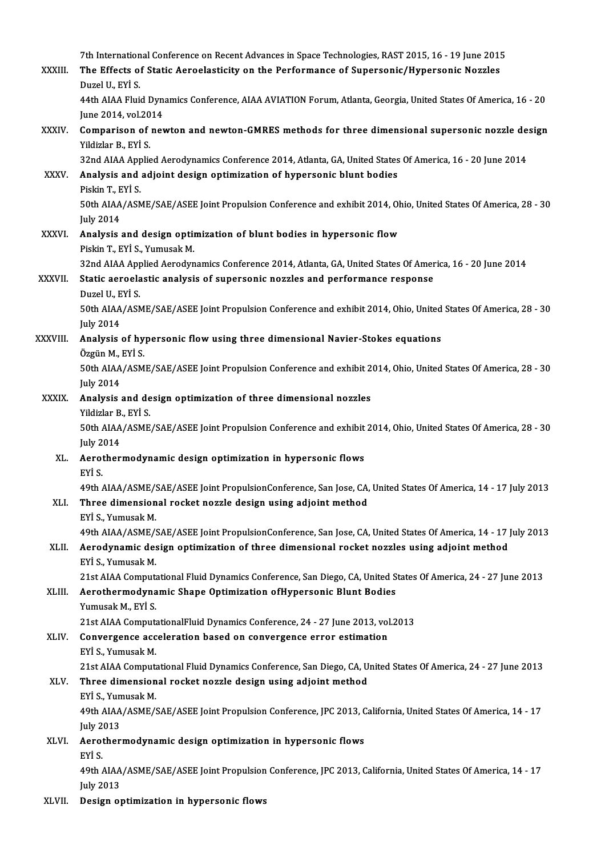|              | 7th International Conference on Recent Advances in Space Technologies, RAST 2015, 16 - 19 June 2015                                                                                                       |
|--------------|-----------------------------------------------------------------------------------------------------------------------------------------------------------------------------------------------------------|
| XXXIII.      | The Effects of Static Aeroelasticity on the Performance of Supersonic/Hypersonic Nozzles<br>Duzel U, EYİ S.                                                                                               |
|              | 44th AIAA Fluid Dynamics Conference, AIAA AVIATION Forum, Atlanta, Georgia, United States Of America, 16 - 20<br>June 2014, vol.2014                                                                      |
| XXXIV.       | Comparison of newton and newton-GMRES methods for three dimensional supersonic nozzle design<br>Yildizlar B., EYİ S.                                                                                      |
|              | 32nd AIAA Applied Aerodynamics Conference 2014, Atlanta, GA, United States Of America, 16 - 20 June 2014                                                                                                  |
| <b>XXXV</b>  | Analysis and adjoint design optimization of hypersonic blunt bodies<br>Piskin T., EYİ S.                                                                                                                  |
|              | 50th AIAA/ASME/SAE/ASEE Joint Propulsion Conference and exhibit 2014, Ohio, United States Of America, 28 - 30<br><b>July 2014</b>                                                                         |
| <b>XXXVI</b> | Analysis and design optimization of blunt bodies in hypersonic flow<br>Piskin T, EYİ S, Yumusak M.                                                                                                        |
|              | 32nd AIAA Applied Aerodynamics Conference 2014, Atlanta, GA, United States Of America, 16 - 20 June 2014                                                                                                  |
| XXXVII.      | Static aeroelastic analysis of supersonic nozzles and performance response<br>Duzel U., EYİ S.                                                                                                            |
|              | 50th AIAA/ASME/SAE/ASEE Joint Propulsion Conference and exhibit 2014, Ohio, United States Of America, 28 - 30<br><b>July 2014</b>                                                                         |
| XXXVIII.     | Analysis of hypersonic flow using three dimensional Navier-Stokes equations<br>Özgün M., EYİ S.                                                                                                           |
|              | 50th AIAA/ASME/SAE/ASEE Joint Propulsion Conference and exhibit 2014, Ohio, United States Of America, 28 - 30<br><b>July 2014</b>                                                                         |
| <b>XXXIX</b> | Analysis and design optimization of three dimensional nozzles<br>Yildizlar B., EYİ S.                                                                                                                     |
|              | 50th AIAA/ASME/SAE/ASEE Joint Propulsion Conference and exhibit 2014, Ohio, United States Of America, 28 - 30                                                                                             |
| XL.          | <b>July 2014</b><br>Aerothermodynamic design optimization in hypersonic flows<br>EYİ S.                                                                                                                   |
|              | 49th AIAA/ASME/SAE/ASEE Joint PropulsionConference, San Jose, CA, United States Of America, 14 - 17 July 2013                                                                                             |
| XLI.         | Three dimensional rocket nozzle design using adjoint method<br>EYİ S., Yumusak M.                                                                                                                         |
| XLII.        | 49th AIAA/ASME/SAE/ASEE Joint PropulsionConference, San Jose, CA, United States Of America, 14 - 17 July 2013<br>Aerodynamic design optimization of three dimensional rocket nozzles using adjoint method |
|              | EYİ S., Yumusak M.                                                                                                                                                                                        |
| XLIII.       | 21st AIAA Computational Fluid Dynamics Conference, San Diego, CA, United States Of America, 24 - 27 June 2013<br>Aerothermodynamic Shape Optimization ofHypersonic Blunt Bodies                           |
|              | Yumusak M., EYİ S.<br>21st AIAA ComputationalFluid Dynamics Conference, 24 - 27 June 2013, vol.2013                                                                                                       |
| XLIV.        | Convergence acceleration based on convergence error estimation                                                                                                                                            |
|              | EYİ S., Yumusak M.<br>21st AIAA Computational Fluid Dynamics Conference, San Diego, CA, United States Of America, 24 - 27 June 2013                                                                       |
| XLV.         | Three dimensional rocket nozzle design using adjoint method<br>EYİ S, Yumusak M.                                                                                                                          |
|              | 49th AIAA/ASME/SAE/ASEE Joint Propulsion Conference, JPC 2013, California, United States Of America, 14 - 17                                                                                              |
| XLVI.        | <b>July 2013</b><br>Aerothermodynamic design optimization in hypersonic flows                                                                                                                             |
|              | EYİ S<br>49th AIAA/ASME/SAE/ASEE Joint Propulsion Conference, JPC 2013, California, United States Of America, 14 - 17                                                                                     |
|              | <b>July 2013</b>                                                                                                                                                                                          |
| XLVII.       | Design optimization in hypersonic flows                                                                                                                                                                   |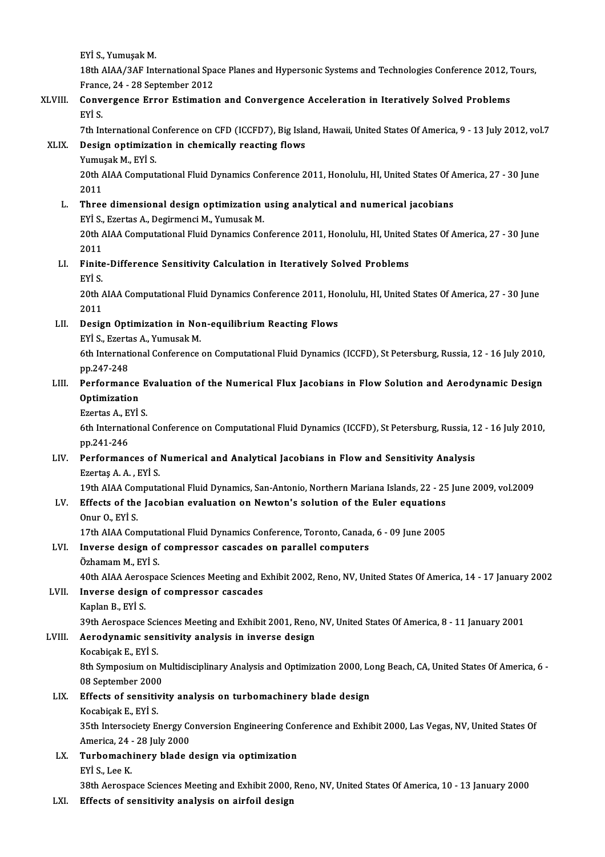EYİ S.,YumuşakM.

EYİ S., Yumuşak M.<br>18th AIAA/3AF International Space Planes and Hypersonic Systems and Technologies Conference 2012, Tours,<br>France 24, .28 Sentember 2012 EYİ S., Yumuşak M.<br>18th AIAA/3AF International Spa<br>France, 24 - 28 September 2012<br>Convergence, Erner, Estimatio 18th AIAA/3AF International Space Planes and Hypersonic Systems and Technologies Conference 2012, 7<br>France, 24 - 28 September 2012<br>XLVIII. Convergence Error Estimation and Convergence Acceleration in Iteratively Solved Pro

Franc<br>Conv<br>EYİ S.<br><sup>7th In</sup>

EYİ S.<br>7th International Conference on CFD (ICCFD7), Big Island, Hawaii, United States Of America, 9 - 13 July 2012, vol.7

# EYİ S.<br>7th International Conference on CFD (ICCFD7), Big Isla<br>XLIX. Design optimization in chemically reacting flows<br>Vumusak M, EVİ S. 7th International C<br>Design optimizat<br>Yumuşak M., EYİ S.<br>20th AJAA Comput

Design optimization in chemically reacting flows<br>Yumuşak M., EYİ S.<br>20th AIAA Computational Fluid Dynamics Conference 2011, Honolulu, HI, United States Of America, 27 - 30 June<br>2011 Yumu:<br>20th /<br>2011<br>Three 20th AIAA Computational Fluid Dynamics Conference 2011, Honolulu, HI, United States Of A<br>2011<br>L. Three dimensional design optimization using analytical and numerical jacobians<br>by is Exected A Desirmansi M Yumusal: M

2011<br>Three dimensional design optimization<br>EYİ S., Ezertas A., Degirmenci M., Yumusak M.<br>20th AIAA Computational Eluid Dynamics Cot Three dimensional design optimization using analytical and numerical jacobians<br>EYİ S., Ezertas A., Degirmenci M., Yumusak M.<br>20th AIAA Computational Fluid Dynamics Conference 2011, Honolulu, HI, United States Of America, 2 EYİ S.,<br>20th /<br>2011<br>Einite

# 20th AIAA Computational Fluid Dynamics Conference 2011, Honolulu, HI, United<br>2011<br>LI. Finite-Difference Sensitivity Calculation in Iteratively Solved Problems<br>Evis 2011<br>Finite<br>EYİ S.

Finite-Difference Sensitivity Calculation in Iteratively Solved Problems<br>EYİ S.<br>20th AIAA Computational Fluid Dynamics Conference 2011, Honolulu, HI, United States Of America, 27 - 30 June<br>2011 EYİ S.<br>20th /<br>2011 20th AIAA Computational Fluid Dynamics Conference 2011, Ho<br>2011<br>LII. Design Optimization in Non-equilibrium Reacting Flows<br>EVI S. Frantas A. Vumusak M

# 2011<br>Design Optimization in No:<br>EYİ S., Ezertas A., Yumusak M.<br>Eth International Conference

EYİ S., Ezertas A., Yumusak M.

6th International Conference on Computational Fluid Dynamics (ICCFD), St Petersburg, Russia, 12 - 16 July 2010,<br>pp.247-248 6th International Conference on Computational Fluid Dynamics (ICCFD), St Petersburg, Russia, 12 - 16 July 2010,<br>pp.247-248<br>LIII. Performance Evaluation of the Numerical Flux Jacobians in Flow Solution and Aerodynamic Desig

# pp.247-248<br>Performance<br>Optimization<br>Frortes A. EVI Performance E<br>Optimization<br>Ezertas A., EYİ S.<br><sup>6th International</sub></sup>

**Optimization**<br>Ezertas A., EYİ S.<br>6th International Conference on Computational Fluid Dynamics (ICCFD), St Petersburg, Russia, 12 - 16 July 2010,<br>pp 241 246 Ezertas A., E<br>6th Internati<br>pp.241-246<br>Borforman

#### LIV. Performances of Numerical and Analytical Jacobians in Flowand Sensitivity Analysis EzertaşA.A. ,EYİ S. Performances of Numerical and Analytical Jacobians in Flow and Sensitivity Analysis<br>Ezertaş A. A. , EYİ S.<br>19th AIAA Computational Fluid Dynamics, San-Antonio, Northern Mariana Islands, 22 - 25 June 2009, vol.2009<br>Effects

### LV. Effects of the Jacobian evaluation on Newton's solution of the Euler equations<br>Onur 0. EYI S. 19th AIAA Con<br>Effects of the<br>Onur O., EYİ S.<br>17th AIAA Con Effects of the Jacobian evaluation on Newton's solution of the Euler equations<br>Onur O., EYİ S.<br>17th AIAA Computational Fluid Dynamics Conference, Toronto, Canada, 6 - 09 June 2005<br>Invense design of sempresser enseades on p

### LVI. Inverse design of compressor cascades on parallel computers Özhamam M., EYİ S. 17th AIAA Computa<br>Inverse design of<br>Özhamam M., EYİ S.<br>40th AIAA Asrosnes

40th AIAA Aerospace Sciences Meeting and Exhibit 2002, Reno, NV, United States Of America, 14 - 17 January 2002

### LVII. Inverse design of compressor cascades

Kaplan B., EYİ S.

Inverse design of compressor cascades<br>Kaplan B., EYİ S.<br>39th Aerospace Sciences Meeting and Exhibit 2001, Reno, NV, United States Of America, 8 - 11 January 2001<br>Aerodynamis sensitivity analysis in inverse design

# Kaplan B., EYİ S.<br>39th Aerospace Sciences Meeting and Exhibit 2001, Reno,<br>LVIII. Aerodynamic sensitivity analysis in inverse design<br>E EVİ S 39th Aerospace Sci<br>Aerodynamic sen<br>Kocabiçak E., EYİ S.<br><sup>9th Sumnosium on</sup>

Aerodynamic sensitivity analysis in inverse design<br>Kocabiçak E., EYİ S.<br>8th Symposium on Multidisciplinary Analysis and Optimization 2000, Long Beach, CA, United States Of America, 6<br>08 Sontamber 2000 Kocabiçak E., EYİ S.<br>8th Symposium on M<br>08 September 2000<br>Effects of sonsitivi 8th Symposium on Multidisciplinary Analysis and Optimization 2000, Lo<br>08 September 2000<br>LIX. Effects of sensitivity analysis on turbomachinery blade design<br>Keephical: E. Evi s

# 08 September 2000<br>Effects of sensitivity analysis on turbomachinery blade design<br>Kocabicak E., EYİ S.

Effects of sensitivity analysis on turbomachinery blade design<br>Kocabiçak E., EYİ S.<br>35th Intersociety Energy Conversion Engineering Conference and Exhibit 2000, Las Vegas, NV, United States Of Kocabiçak E., EYİ S.<br>35th Intersociety Energy Co.<br>America, 24 - 28 July 2000<br>Turbomashinaru blada s 35th Intersociety Energy Conversion Engineering Con<br>America, 24 - 28 July 2000<br>LX. Turbomachinery blade design via optimization<br>EVI S. Lee V.

# America, 24<br>**Turbomach<br>EYİ S., Lee K.**<br>29th Aereans

38thAerospace SciencesMeeting andExhibit2000,Reno,NV,United StatesOfAmerica,10 -13 January2000

#### LXI. Effects of sensitivity analysis on airfoil design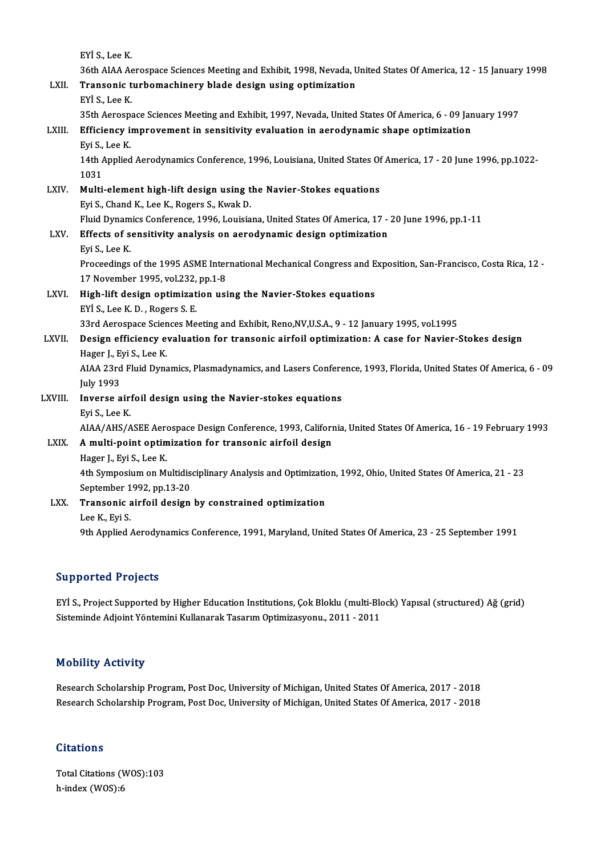|              | EYİ S, Lee K                                                                                                     |
|--------------|------------------------------------------------------------------------------------------------------------------|
|              | 36th AIAA Aerospace Sciences Meeting and Exhibit, 1998, Nevada, United States Of America, 12 - 15 January 1998   |
| LXII.        | Transonic turbomachinery blade design using optimization                                                         |
|              | EYİ S, Lee K                                                                                                     |
|              | 35th Aerospace Sciences Meeting and Exhibit, 1997, Nevada, United States Of America, 6 - 09 January 1997         |
| LXIII.       | Efficiency improvement in sensitivity evaluation in aerodynamic shape optimization                               |
|              | Eyi S, Lee K                                                                                                     |
|              | 14th Applied Aerodynamics Conference, 1996, Louisiana, United States Of America, 17 - 20 June 1996, pp.1022-     |
|              | 1031                                                                                                             |
| LXIV.        | Multi-element high-lift design using the Navier-Stokes equations                                                 |
|              | Eyi S., Chand K., Lee K., Rogers S., Kwak D.                                                                     |
|              | Fluid Dynamics Conference, 1996, Louisiana, United States Of America, 17 - 20 June 1996, pp.1-11                 |
| LXV.         | Effects of sensitivity analysis on aerodynamic design optimization                                               |
|              | Eyi S, Lee K                                                                                                     |
|              | Proceedings of the 1995 ASME International Mechanical Congress and Exposition, San-Francisco, Costa Rica, 12 -   |
|              | 17 November 1995, vol.232, pp.1-8                                                                                |
| <b>LXVI.</b> | High-lift design optimization using the Navier-Stokes equations                                                  |
|              | EYİ S., Lee K. D., Rogers S. E.                                                                                  |
|              | 33rd Aerospace Sciences Meeting and Exhibit, Reno, NV, U.S.A., 9 - 12 January 1995, vol.1995                     |
| LXVII.       | Design efficiency evaluation for transonic airfoil optimization: A case for Navier-Stokes design                 |
|              | Hager J., Eyi S., Lee K.                                                                                         |
|              | AIAA 23rd Fluid Dynamics, Plasmadynamics, and Lasers Conference, 1993, Florida, United States Of America, 6 - 09 |
|              | <b>July 1993</b>                                                                                                 |
| LXVIII.      | Inverse airfoil design using the Navier-stokes equations                                                         |
|              | Eyi S., Lee K.                                                                                                   |
|              | AIAA/AHS/ASEE Aerospace Design Conference, 1993, California, United States Of America, 16 - 19 February 1993     |
| LXIX.        | A multi-point optimization for transonic airfoil design                                                          |
|              | Hager J., Eyi S., Lee K.                                                                                         |
|              | 4th Symposium on Multidisciplinary Analysis and Optimization, 1992, Ohio, United States Of America, 21 - 23      |
|              | September 1992, pp 13-20                                                                                         |
| LXX.         | Transonic airfoil design by constrained optimization                                                             |
|              | Lee K, Eyi S                                                                                                     |
|              | 9th Applied Aerodynamics Conference, 1991, Maryland, United States Of America, 23 - 25 September 1991            |
|              |                                                                                                                  |

#### Supported Projects

Supported Projects<br>EYİ S., Project Supported by Higher Education Institutions, Çok Bloklu (multi-Block) Yapısal (structured) Ağ (grid)<br>Sisteminde Adioint Yöntemini Kullanarak Tesarım Ontimizesyanu, 2011, 2011 Supporteur 119<sub>J</sub>oole<br>EYİ S., Project Supported by Higher Education Institutions, Çok Bloklu (multi-Blo<br>Sisteminde Adjoint Yöntemini Kullanarak Tasarım Optimizasyonu., 2011 - 2011 Sisteminde Adjoint Yöntemini Kullanarak Tasarım Optimizasyonu., 2011 - 2011<br>Mobility Activity

Research Scholarship Program, Post Doc, University of Michigan, United States Of America, 2017 - 2018 Research Scholarship Program, Post Doc, University of Michigan, United States Of America, 2017 - 2018

#### **Citations**

Total Citations (WOS):103 h-index (WOS):6